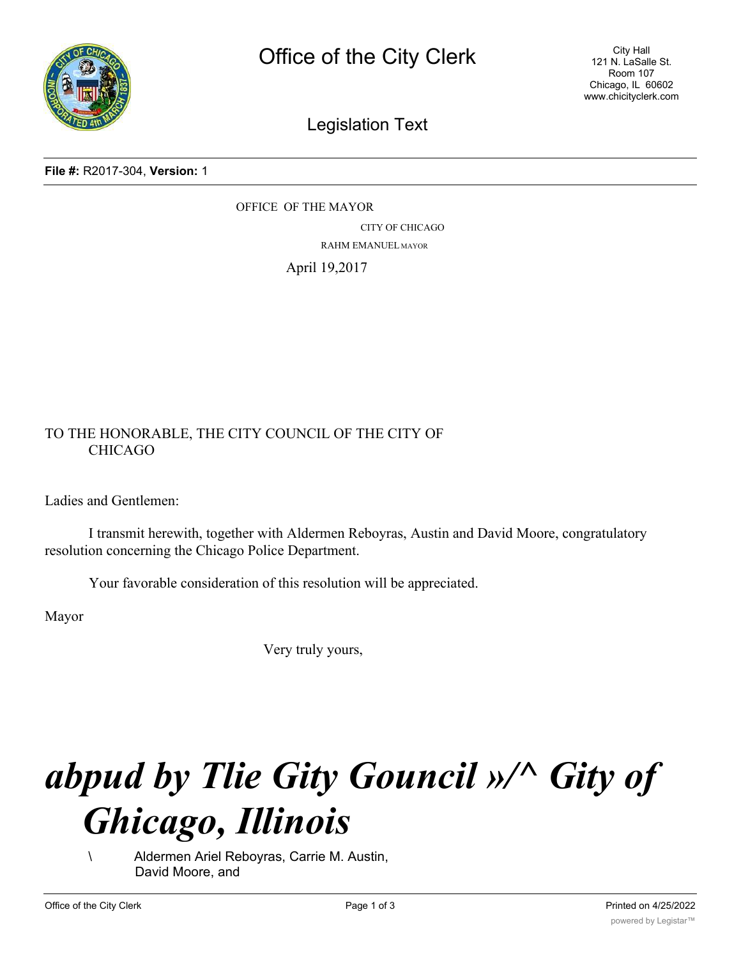

City Hall 121 N. LaSalle St. Room 107 Chicago, IL 60602 www.chicityclerk.com

## Legislation Text

**File #:** R2017-304, **Version:** 1

OFFICE OF THE MAYOR CITY OF CHICAGO RAHM EMANUEL MAYOR

April 19,2017

## TO THE HONORABLE, THE CITY COUNCIL OF THE CITY OF CHICAGO

Ladies and Gentlemen:

I transmit herewith, together with Aldermen Reboyras, Austin and David Moore, congratulatory resolution concerning the Chicago Police Department.

Your favorable consideration of this resolution will be appreciated.

Mayor

Very truly yours,

## *abpud by Tlie Gity Gouncil »/^ Gity of Ghicago, Illinois*

\ Aldermen Ariel Reboyras, Carrie M. Austin, David Moore, and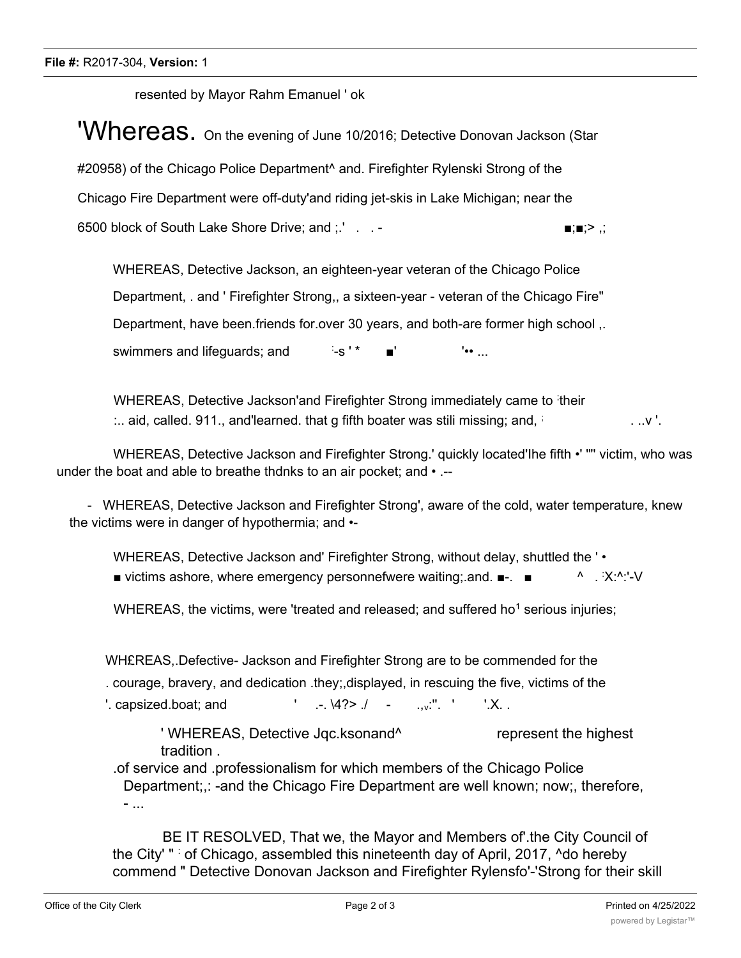resented by Mayor Rahm Emanuel ' ok

**'Whereas.** On the evening of June 10/2016; Detective Donovan Jackson (Star #20958) of the Chicago Police Department^ and. Firefighter Rylenski Strong of the Chicago Fire Department were off-duty'and riding jet-skis in Lake Michigan; near the 6500 block of South Lake Shore Drive; and  $\therefore$  ... -  $\blacksquare$ 

WHEREAS, Detective Jackson, an eighteen-year veteran of the Chicago Police Department, . and ' Firefighter Strong,, a sixteen-year - veteran of the Chicago Fire" Department, have been.friends for.over 30 years, and both-are former high school ,. swimmers and lifeguards; and : -s'\*  $!\bullet\bullet\quad$ 

WHEREAS, Detective Jackson'and Firefighter Strong immediately came to their  $\ldots$  aid, called. 911., and learned. that g fifth boater was stili missing; and,  $\ldots$   $\ldots$   $\ldots$   $\ldots$   $\ldots$ 

WHEREAS, Detective Jackson and Firefighter Strong.' quickly located'Ihe fifth •' '"' victim, who was under the boat and able to breathe thdnks to an air pocket; and • .--

- WHEREAS, Detective Jackson and Firefighter Strong', aware of the cold, water temperature, knew the victims were in danger of hypothermia; and •-

WHEREAS, Detective Jackson and' Firefighter Strong, without delay, shuttled the ' • ■ victims ashore, where emergency personnefwere waiting; and. ■-. ■ X:^:'-V

WHEREAS, the victims, were 'treated and released; and suffered ho<sup>1</sup> serious injuries;

WH£REAS,.Defective- Jackson and Firefighter Strong are to be commended for the

. courage, bravery, and dedication .they;,displayed, in rescuing the five, victims of the

'. capsized.boat; and  $' = \frac{1}{4}$ .  $\frac{4}{2}$ .  $' = \frac{1}{2}$ .

' WHEREAS, Detective Jgc.ksonand<sup>^</sup> represent the highest tradition .

.of service and .professionalism for which members of the Chicago Police Department;,: -and the Chicago Fire Department are well known; now;, therefore, - ...

BE IT RESOLVED, That we, the Mayor and Members of'.the City Council of the City' " : of Chicago, assembled this nineteenth day of April, 2017, ^do hereby commend " Detective Donovan Jackson and Firefighter Rylensfo'-'Strong for their skill